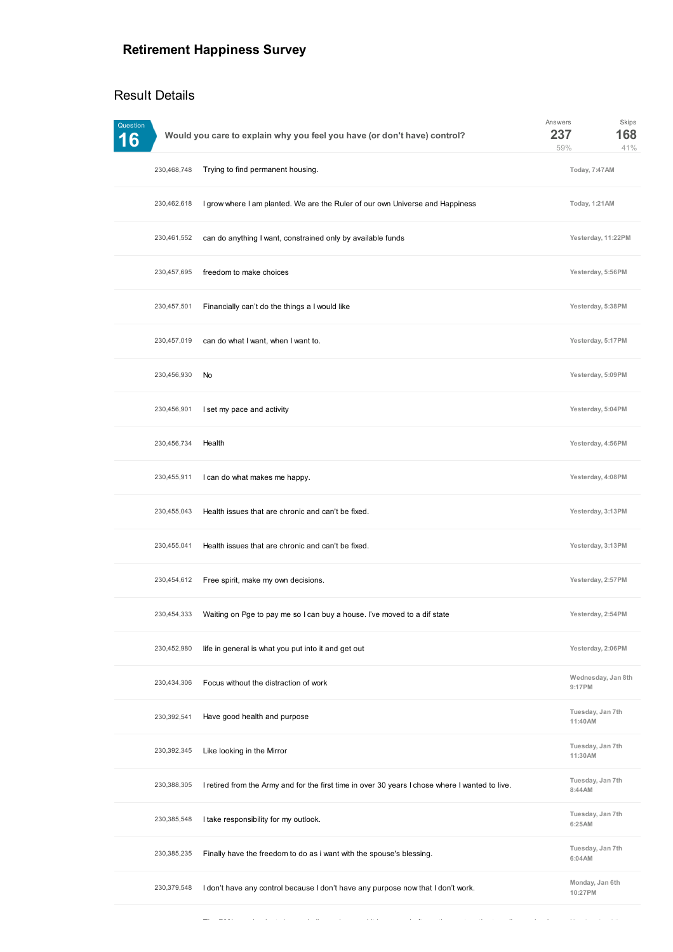## **Retirement Happiness Survey**

## Result Details

| Question<br>6         | Would you care to explain why you feel you have (or don't have) control?                        | Answers<br>237<br>59%        | Skips<br>168<br>41% |
|-----------------------|-------------------------------------------------------------------------------------------------|------------------------------|---------------------|
| 230,468,748           | Trying to find permanent housing.                                                               | Today, 7:47AM                |                     |
| 230,462,618           | I grow where I am planted. We are the Ruler of our own Universe and Happiness                   | Today, 1:21AM                |                     |
| 230,461,552           | can do anything I want, constrained only by available funds                                     | Yesterday, 11:22PM           |                     |
| 230,457,695           | freedom to make choices                                                                         | Yesterday, 5:56PM            |                     |
| 230,457,501           | Financially can't do the things a I would like                                                  | Yesterday, 5:38PM            |                     |
| 230,457,019           | can do what I want, when I want to.                                                             | Yesterday, 5:17PM            |                     |
| No<br>230,456,930     |                                                                                                 | Yesterday, 5:09PM            |                     |
| 230,456,901           | I set my pace and activity                                                                      | Yesterday, 5:04PM            |                     |
| 230,456,734<br>Health |                                                                                                 | Yesterday, 4:56PM            |                     |
| 230,455,911           | I can do what makes me happy.                                                                   | Yesterday, 4:08PM            |                     |
| 230,455,043           | Health issues that are chronic and can't be fixed.                                              | Yesterday, 3:13PM            |                     |
| 230,455,041           | Health issues that are chronic and can't be fixed.                                              | Yesterday, 3:13PM            |                     |
| 230,454,612           | Free spirit, make my own decisions.                                                             | Yesterday, 2:57PM            |                     |
| 230,454,333           | Waiting on Pge to pay me so I can buy a house. I've moved to a dif state                        | Yesterday, 2:54PM            |                     |
| 230,452,980           | life in general is what you put into it and get out                                             | Yesterday, 2:06PM            |                     |
| 230,434,306           | Focus without the distraction of work                                                           | Wednesday, Jan 8th<br>9:17PM |                     |
| 230,392,541           | Have good health and purpose                                                                    | Tuesday, Jan 7th<br>11:40AM  |                     |
| 230,392,345           | Like looking in the Mirror                                                                      | Tuesday, Jan 7th<br>11:30AM  |                     |
| 230,388,305           | I retired from the Army and for the first time in over 30 years I chose where I wanted to live. | Tuesday, Jan 7th<br>8:44AM   |                     |
| 230,385,548           | I take responsibility for my outlook.                                                           | Tuesday, Jan 7th<br>6:25AM   |                     |
| 230,385,235           | Finally have the freedom to do as i want with the spouse's blessing.                            | Tuesday, Jan 7th<br>6:04AM   |                     |
| 230,379,548           | I don't have any control because I don't have any purpose now that I don't work.                | Monday, Jan 6th<br>10:27PM   |                     |

The 70% pension lost changed all our plans and it happened after retirement so the traveling and going **Monday, Jan 6th**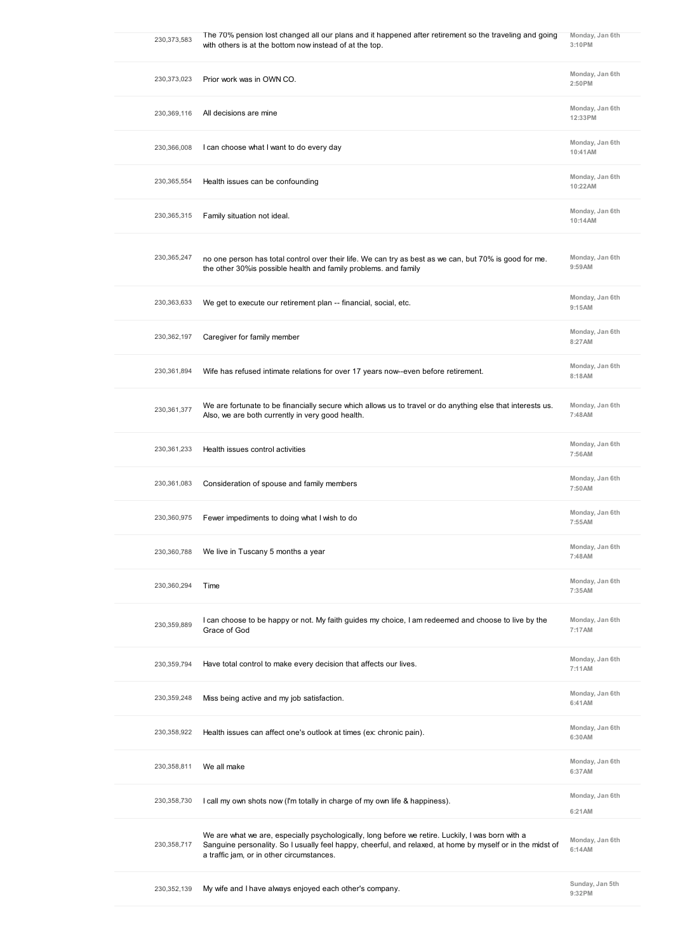|             | 230,373,583 | The 70% pension lost changed all our plans and it happened after retirement so the traveling and going<br>with others is at the bottom now instead of at the top.                                                                                            | Monday, Jan 6th<br>3:10PM  |
|-------------|-------------|--------------------------------------------------------------------------------------------------------------------------------------------------------------------------------------------------------------------------------------------------------------|----------------------------|
|             | 230,373,023 | Prior work was in OWN CO.                                                                                                                                                                                                                                    | Monday, Jan 6th<br>2:50PM  |
|             | 230,369,116 | All decisions are mine                                                                                                                                                                                                                                       | Monday, Jan 6th<br>12:33PM |
|             | 230,366,008 | I can choose what I want to do every day                                                                                                                                                                                                                     | Monday, Jan 6th<br>10:41AM |
|             | 230,365,554 | Health issues can be confounding                                                                                                                                                                                                                             | Monday, Jan 6th<br>10:22AM |
|             | 230,365,315 | Family situation not ideal.                                                                                                                                                                                                                                  | Monday, Jan 6th<br>10:14AM |
| 230,365,247 |             | no one person has total control over their life. We can try as best as we can, but 70% is good for me.<br>the other 30% is possible health and family problems. and family                                                                                   | Monday, Jan 6th<br>9:59AM  |
|             | 230,363,633 | We get to execute our retirement plan -- financial, social, etc.                                                                                                                                                                                             | Monday, Jan 6th<br>9:15AM  |
|             | 230,362,197 | Caregiver for family member                                                                                                                                                                                                                                  | Monday, Jan 6th<br>8:27AM  |
|             | 230,361,894 | Wife has refused intimate relations for over 17 years now--even before retirement.                                                                                                                                                                           | Monday, Jan 6th<br>8:18AM  |
|             | 230,361,377 | We are fortunate to be financially secure which allows us to travel or do anything else that interests us.<br>Also, we are both currently in very good health.                                                                                               | Monday, Jan 6th<br>7:48AM  |
|             | 230,361,233 | Health issues control activities                                                                                                                                                                                                                             | Monday, Jan 6th<br>7:56AM  |
|             | 230,361,083 | Consideration of spouse and family members                                                                                                                                                                                                                   | Monday, Jan 6th<br>7:50AM  |
|             | 230,360,975 | Fewer impediments to doing what I wish to do                                                                                                                                                                                                                 | Monday, Jan 6th<br>7:55AM  |
|             | 230,360,788 | We live in Tuscany 5 months a year                                                                                                                                                                                                                           | Monday, Jan 6th<br>7:48AM  |
|             | 230,360,294 | Time                                                                                                                                                                                                                                                         | Monday, Jan 6th<br>7:35AM  |
|             | 230,359,889 | I can choose to be happy or not. My faith guides my choice, I am redeemed and choose to live by the<br>Grace of God                                                                                                                                          | Monday, Jan 6th<br>7:17AM  |
|             | 230,359,794 | Have total control to make every decision that affects our lives.                                                                                                                                                                                            | Monday, Jan 6th<br>7:11AM  |
|             | 230,359,248 | Miss being active and my job satisfaction.                                                                                                                                                                                                                   | Monday, Jan 6th<br>6:41AM  |
|             | 230,358,922 | Health issues can affect one's outlook at times (ex: chronic pain).                                                                                                                                                                                          | Monday, Jan 6th<br>6:30AM  |
| 230,358,811 |             | We all make                                                                                                                                                                                                                                                  | Monday, Jan 6th<br>6:37 AM |
|             | 230,358,730 | I call my own shots now (I'm totally in charge of my own life & happiness).                                                                                                                                                                                  | Monday, Jan 6th<br>6:21AM  |
|             | 230,358,717 | We are what we are, especially psychologically, long before we retire. Luckily, I was born with a<br>Sanguine personality. So I usually feel happy, cheerful, and relaxed, at home by myself or in the midst of<br>a traffic jam, or in other circumstances. | Monday, Jan 6th<br>6:14AM  |
|             | 230,352,139 | My wife and I have always enjoyed each other's company.                                                                                                                                                                                                      | Sunday, Jan 5th<br>9:32PM  |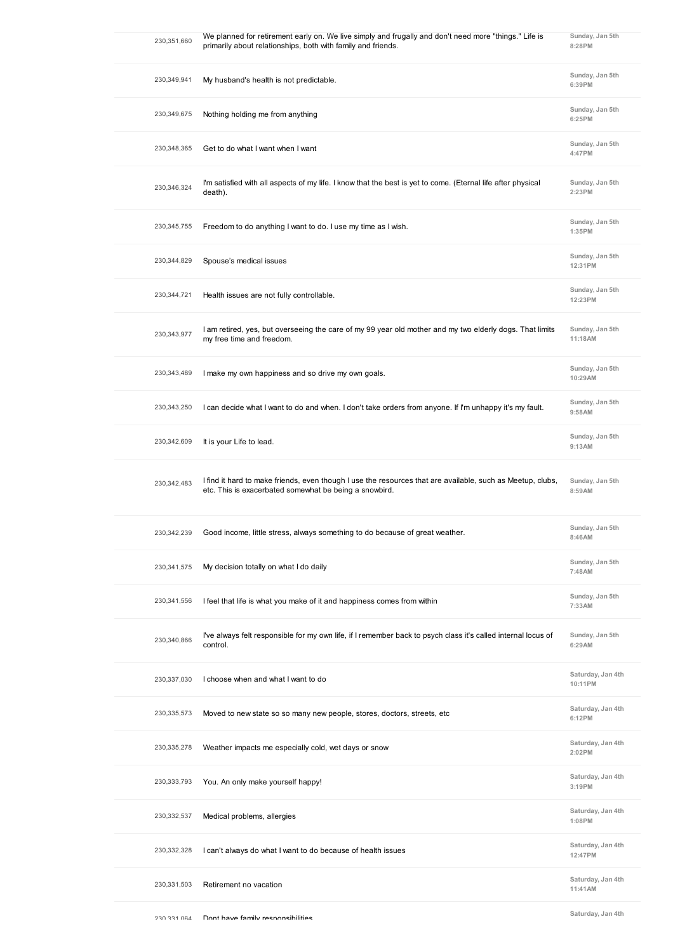| 230,351,660   | We planned for retirement early on. We live simply and frugally and don't need more "things." Life is<br>primarily about relationships, both with family and friends. | Sunday, Jan 5th<br>8:28PM    |
|---------------|-----------------------------------------------------------------------------------------------------------------------------------------------------------------------|------------------------------|
| 230,349,941   | My husband's health is not predictable.                                                                                                                               | Sunday, Jan 5th<br>6:39PM    |
| 230,349,675   | Nothing holding me from anything                                                                                                                                      | Sunday, Jan 5th<br>6:25PM    |
| 230,348,365   | Get to do what I want when I want                                                                                                                                     | Sunday, Jan 5th<br>4:47PM    |
| 230,346,324   | I'm satisfied with all aspects of my life. I know that the best is yet to come. (Eternal life after physical<br>death).                                               | Sunday, Jan 5th<br>2:23PM    |
| 230, 345, 755 | Freedom to do anything I want to do. I use my time as I wish.                                                                                                         | Sunday, Jan 5th<br>1:35PM    |
| 230,344,829   | Spouse's medical issues                                                                                                                                               | Sunday, Jan 5th<br>12:31PM   |
| 230,344,721   | Health issues are not fully controllable.                                                                                                                             | Sunday, Jan 5th<br>12:23PM   |
| 230,343,977   | I am retired, yes, but overseeing the care of my 99 year old mother and my two elderly dogs. That limits<br>my free time and freedom.                                 | Sunday, Jan 5th<br>11:18AM   |
| 230,343,489   | I make my own happiness and so drive my own goals.                                                                                                                    | Sunday, Jan 5th<br>10:29AM   |
| 230,343,250   | I can decide what I want to do and when. I don't take orders from anyone. If I'm unhappy it's my fault.                                                               | Sunday, Jan 5th<br>9:58AM    |
| 230,342,609   | It is your Life to lead.                                                                                                                                              | Sunday, Jan 5th<br>9:13AM    |
| 230,342,483   | I find it hard to make friends, even though I use the resources that are available, such as Meetup, clubs,<br>etc. This is exacerbated somewhat be being a snowbird.  | Sunday, Jan 5th<br>8:59AM    |
| 230,342,239   | Good income, little stress, always something to do because of great weather.                                                                                          | Sunday, Jan 5th<br>8:46AM    |
| 230, 341, 575 | My decision totally on what I do daily                                                                                                                                | Sunday, Jan 5th<br>7:48AM    |
| 230,341,556   | I feel that life is what you make of it and happiness comes from within                                                                                               | Sunday, Jan 5th<br>7:33AM    |
| 230,340,866   | I've always felt responsible for my own life, if I remember back to psych class it's called internal locus of<br>control.                                             | Sunday, Jan 5th<br>6:29AM    |
| 230,337,030   | I choose when and what I want to do                                                                                                                                   | Saturday, Jan 4th<br>10:11PM |
| 230,335,573   | Moved to new state so so many new people, stores, doctors, streets, etc.                                                                                              | Saturday, Jan 4th<br>6:12PM  |
| 230,335,278   | Weather impacts me especially cold, wet days or snow                                                                                                                  | Saturday, Jan 4th<br>2:02PM  |
| 230,333,793   | You. An only make yourself happy!                                                                                                                                     | Saturday, Jan 4th<br>3:19PM  |
| 230,332,537   | Medical problems, allergies                                                                                                                                           | Saturday, Jan 4th<br>1:08PM  |
| 230,332,328   | I can't always do what I want to do because of health issues                                                                                                          | Saturday, Jan 4th<br>12:47PM |
| 230,331,503   | Retirement no vacation                                                                                                                                                | Saturday, Jan 4th<br>11:41AM |
|               |                                                                                                                                                                       |                              |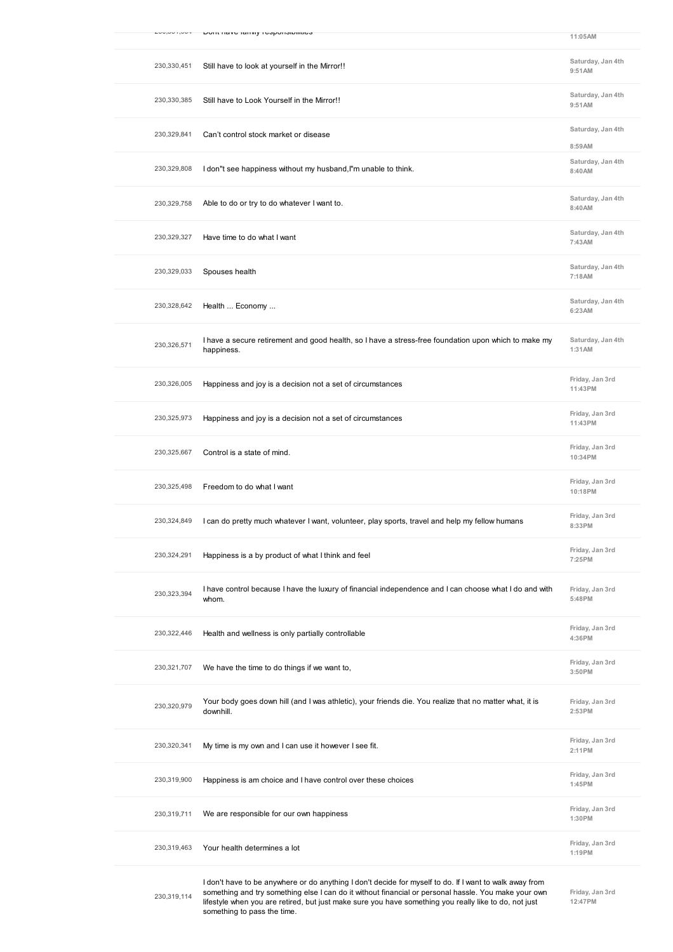| $\sim$ דיטט, ו טט, טט |                                                                                                                      |                              |
|-----------------------|----------------------------------------------------------------------------------------------------------------------|------------------------------|
|                       | LOTIL Have Tailing responsibilities                                                                                  | 11:05AM                      |
| 230,330,451           | Still have to look at yourself in the Mirror!!                                                                       | Saturday, Jan 4th<br>9:51AM  |
| 230,330,385           | Still have to Look Yourself in the Mirror!!                                                                          | Saturday, Jan 4th<br>9:51AM  |
| 230,329,841           | Can't control stock market or disease                                                                                | Saturday, Jan 4th<br>8:59AM  |
| 230,329,808           | I don"t see happiness without my husband, I'm unable to think.                                                       | Saturday, Jan 4th<br>8:40 AM |
| 230,329,758           | Able to do or try to do whatever I want to.                                                                          | Saturday, Jan 4th<br>8:40 AM |
| 230,329,327           | Have time to do what I want                                                                                          | Saturday, Jan 4th<br>7:43AM  |
| 230,329,033           | Spouses health                                                                                                       | Saturday, Jan 4th<br>7:18AM  |
| 230,328,642           | Health  Economy                                                                                                      | Saturday, Jan 4th<br>6:23AM  |
| 230,326,571           | I have a secure retirement and good health, so I have a stress-free foundation upon which to make my<br>happiness.   | Saturday, Jan 4th<br>1:31AM  |
| 230,326,005           | Happiness and joy is a decision not a set of circumstances                                                           | Friday, Jan 3rd<br>11:43PM   |
| 230,325,973           | Happiness and joy is a decision not a set of circumstances                                                           | Friday, Jan 3rd<br>11:43PM   |
| 230,325,667           | Control is a state of mind.                                                                                          | Friday, Jan 3rd<br>10:34PM   |
| 230,325,498           | Freedom to do what I want                                                                                            | Friday, Jan 3rd<br>10:18PM   |
| 230,324,849           | I can do pretty much whatever I want, volunteer, play sports, travel and help my fellow humans                       | Friday, Jan 3rd<br>8:33PM    |
| 230,324,291           | Happiness is a by product of what I think and feel                                                                   | Friday, Jan 3rd<br>7:25PM    |
| 230,323,394           | I have control because I have the luxury of financial independence and I can choose what I do and with<br>whom.      | Friday, Jan 3rd<br>5:48PM    |
| 230,322,446           | Health and wellness is only partially controllable                                                                   | Friday, Jan 3rd<br>4:36PM    |
| 230,321,707           | We have the time to do things if we want to,                                                                         | Friday, Jan 3rd<br>3:50 PM   |
| 230,320,979           | Your body goes down hill (and I was athletic), your friends die. You realize that no matter what, it is<br>downhill. | Friday, Jan 3rd<br>2:53PM    |
| 230,320,341           | My time is my own and I can use it however I see fit.                                                                | Friday, Jan 3rd<br>2:11PM    |
| 230,319,900           | Happiness is am choice and I have control over these choices                                                         | Friday, Jan 3rd<br>1:45PM    |
| 230,319,711           | We are responsible for our own happiness                                                                             | Friday, Jan 3rd<br>1:30 PM   |
| 230,319,463           | Your health determines a lot                                                                                         | Friday, Jan 3rd<br>1:19PM    |
|                       |                                                                                                                      |                              |

I don't have to be anywhere or do anything I don't decide for myself to do. If I want to walk away from something and try something else I can do it without financial or personal hassle. You make your own lifestyle when you are retired, but just make sure you have something you really like to do, not just something to pass the time.

**Friday, Jan 3rd 12:47PM**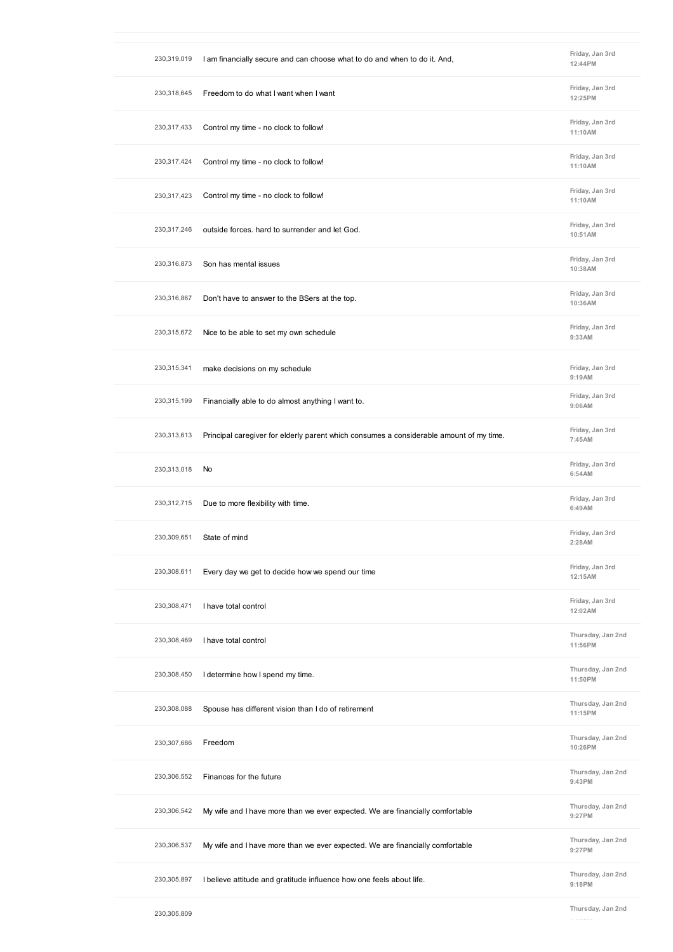| 230,319,019   | I am financially secure and can choose what to do and when to do it. And,               | Friday, Jan 3rd<br>12:44PM   |
|---------------|-----------------------------------------------------------------------------------------|------------------------------|
| 230,318,645   | Freedom to do what I want when I want                                                   | Friday, Jan 3rd<br>12:25PM   |
| 230, 317, 433 | Control my time - no clock to follow!                                                   | Friday, Jan 3rd<br>11:10AM   |
| 230,317,424   | Control my time - no clock to follow!                                                   | Friday, Jan 3rd<br>11:10AM   |
| 230,317,423   | Control my time - no clock to follow!                                                   | Friday, Jan 3rd<br>11:10AM   |
| 230, 317, 246 | outside forces. hard to surrender and let God.                                          | Friday, Jan 3rd<br>10:51AM   |
| 230,316,873   | Son has mental issues                                                                   | Friday, Jan 3rd<br>10:38AM   |
| 230,316,867   | Don't have to answer to the BSers at the top.                                           | Friday, Jan 3rd<br>10:36AM   |
| 230,315,672   | Nice to be able to set my own schedule                                                  | Friday, Jan 3rd<br>9:33AM    |
| 230,315,341   | make decisions on my schedule                                                           | Friday, Jan 3rd<br>9:19AM    |
| 230,315,199   | Financially able to do almost anything I want to.                                       | Friday, Jan 3rd<br>9:06AM    |
| 230,313,613   | Principal caregiver for elderly parent which consumes a considerable amount of my time. | Friday, Jan 3rd<br>7:45AM    |
| 230,313,018   | No                                                                                      | Friday, Jan 3rd<br>6:54AM    |
| 230,312,715   | Due to more flexibility with time.                                                      | Friday, Jan 3rd<br>6:49AM    |
| 230,309,651   | State of mind                                                                           | Friday, Jan 3rd<br>2:28AM    |
| 230,308,611   | Every day we get to decide how we spend our time                                        | Friday, Jan 3rd<br>12:15AM   |
| 230,308,471   | I have total control                                                                    | Friday, Jan 3rd<br>12:02AM   |
| 230,308,469   | I have total control                                                                    | Thursday, Jan 2nd<br>11:56PM |
| 230,308,450   | I determine how I spend my time.                                                        | Thursday, Jan 2nd<br>11:50PM |
| 230,308,088   | Spouse has different vision than I do of retirement                                     | Thursday, Jan 2nd<br>11:15PM |
| 230,307,686   | Freedom                                                                                 | Thursday, Jan 2nd<br>10:26PM |
| 230,306,552   | Finances for the future                                                                 | Thursday, Jan 2nd<br>9:43PM  |
| 230,306,542   | My wife and I have more than we ever expected. We are financially comfortable           | Thursday, Jan 2nd<br>9:27PM  |
| 230,306,537   | My wife and I have more than we ever expected. We are financially comfortable           | Thursday, Jan 2nd<br>9:27PM  |
| 230,305,897   | I believe attitude and gratitude influence how one feels about life.                    | Thursday, Jan 2nd<br>9:18PM  |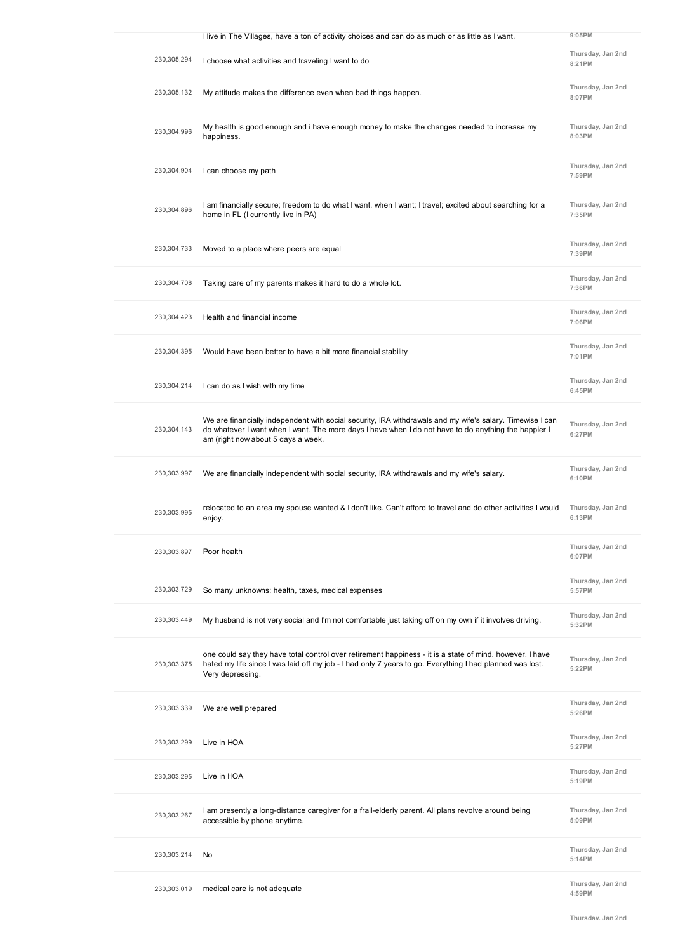|             | I live in The Villages, have a ton of activity choices and can do as much or as little as I want.                                                                                                                                                       | $9:05$ PM                   |
|-------------|---------------------------------------------------------------------------------------------------------------------------------------------------------------------------------------------------------------------------------------------------------|-----------------------------|
| 230,305,294 | I choose what activities and traveling I want to do                                                                                                                                                                                                     | Thursday, Jan 2nd<br>8:21PM |
| 230,305,132 | My attitude makes the difference even when bad things happen.                                                                                                                                                                                           | Thursday, Jan 2nd<br>8:07PM |
| 230,304,996 | My health is good enough and i have enough money to make the changes needed to increase my<br>happiness.                                                                                                                                                | Thursday, Jan 2nd<br>8:03PM |
| 230,304,904 | I can choose my path                                                                                                                                                                                                                                    | Thursday, Jan 2nd<br>7:59PM |
| 230,304,896 | I am financially secure; freedom to do what I want, when I want; I travel; excited about searching for a<br>home in FL (I currently live in PA)                                                                                                         | Thursday, Jan 2nd<br>7:35PM |
| 230,304,733 | Moved to a place where peers are equal                                                                                                                                                                                                                  | Thursday, Jan 2nd<br>7:39PM |
| 230,304,708 | Taking care of my parents makes it hard to do a whole lot.                                                                                                                                                                                              | Thursday, Jan 2nd<br>7:36PM |
| 230,304,423 | Health and financial income                                                                                                                                                                                                                             | Thursday, Jan 2nd<br>7:06PM |
| 230,304,395 | Would have been better to have a bit more financial stability                                                                                                                                                                                           | Thursday, Jan 2nd<br>7:01PM |
| 230,304,214 | I can do as I wish with my time                                                                                                                                                                                                                         | Thursday, Jan 2nd<br>6:45PM |
| 230,304,143 | We are financially independent with social security, IRA withdrawals and my wife's salary. Timewise I can<br>do whatever I want when I want. The more days I have when I do not have to do anything the happier I<br>am (right now about 5 days a week. | Thursday, Jan 2nd<br>6:27PM |
| 230,303,997 | We are financially independent with social security, IRA withdrawals and my wife's salary.                                                                                                                                                              | Thursday, Jan 2nd<br>6:10PM |
| 230,303,995 | relocated to an area my spouse wanted & I don't like. Can't afford to travel and do other activities I would<br>enjoy.                                                                                                                                  | Thursday, Jan 2nd<br>6:13PM |
| 230,303,897 | Poor health                                                                                                                                                                                                                                             | Thursday, Jan 2nd<br>6:07PM |
| 230,303,729 | So many unknowns: health, taxes, medical expenses                                                                                                                                                                                                       | Thursday, Jan 2nd<br>5:57PM |
| 230,303,449 | My husband is not very social and I'm not comfortable just taking off on my own if it involves driving.                                                                                                                                                 | Thursday, Jan 2nd<br>5:32PM |
| 230,303,375 | one could say they have total control over retirement happiness - it is a state of mind. however, I have<br>hated my life since I was laid off my job - I had only 7 years to go. Everything I had planned was lost.<br>Very depressing.                | Thursday, Jan 2nd<br>5:22PM |
| 230,303,339 | We are well prepared                                                                                                                                                                                                                                    | Thursday, Jan 2nd<br>5:26PM |
| 230,303,299 | Live in HOA                                                                                                                                                                                                                                             | Thursday, Jan 2nd<br>5:27PM |
|             |                                                                                                                                                                                                                                                         | Thursday, Jan 2nd           |
| 230,303,295 | Live in HOA                                                                                                                                                                                                                                             | 5:19PM                      |
| 230,303,267 | I am presently a long-distance caregiver for a frail-elderly parent. All plans revolve around being<br>accessible by phone anytime.                                                                                                                     | Thursday, Jan 2nd<br>5:09PM |
| 230,303,214 | No                                                                                                                                                                                                                                                      | Thursday, Jan 2nd<br>5:14PM |
| 230,303,019 | medical care is not adequate                                                                                                                                                                                                                            | Thursday, Jan 2nd<br>4:59PM |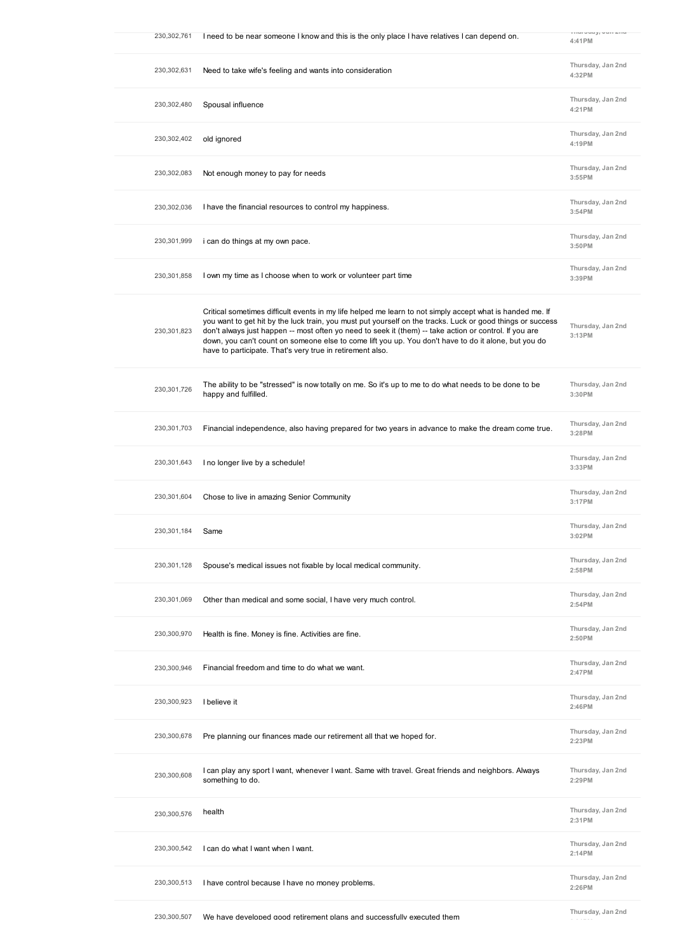| 230,302,761 | I need to be near someone I know and this is the only place I have relatives I can depend on.                                                                                                                                                                                                                                                                                                                                                                                                          | 4:41PM                       |
|-------------|--------------------------------------------------------------------------------------------------------------------------------------------------------------------------------------------------------------------------------------------------------------------------------------------------------------------------------------------------------------------------------------------------------------------------------------------------------------------------------------------------------|------------------------------|
| 230,302,631 | Need to take wife's feeling and wants into consideration                                                                                                                                                                                                                                                                                                                                                                                                                                               | Thursday, Jan 2nd<br>4:32PM  |
| 230,302,480 | Spousal influence                                                                                                                                                                                                                                                                                                                                                                                                                                                                                      | Thursday, Jan 2nd<br>4:21PM  |
| 230,302,402 | old ignored                                                                                                                                                                                                                                                                                                                                                                                                                                                                                            | Thursday, Jan 2nd<br>4:19PM  |
| 230,302,083 | Not enough money to pay for needs                                                                                                                                                                                                                                                                                                                                                                                                                                                                      | Thursday, Jan 2nd<br>3:55PM  |
| 230,302,036 | I have the financial resources to control my happiness.                                                                                                                                                                                                                                                                                                                                                                                                                                                | Thursday, Jan 2nd<br>3:54PM  |
| 230,301,999 | i can do things at my own pace.                                                                                                                                                                                                                                                                                                                                                                                                                                                                        | Thursday, Jan 2nd<br>3:50 PM |
| 230,301,858 | I own my time as I choose when to work or volunteer part time                                                                                                                                                                                                                                                                                                                                                                                                                                          | Thursday, Jan 2nd<br>3:39PM  |
| 230,301,823 | Critical sometimes difficult events in my life helped me learn to not simply accept what is handed me. If<br>you want to get hit by the luck train, you must put yourself on the tracks. Luck or good things or success<br>don't always just happen -- most often yo need to seek it (them) -- take action or control. If you are<br>down, you can't count on someone else to come lift you up. You don't have to do it alone, but you do<br>have to participate. That's very true in retirement also. | Thursday, Jan 2nd<br>3:13PM  |
| 230,301,726 | The ability to be "stressed" is now totally on me. So it's up to me to do what needs to be done to be<br>happy and fulfilled.                                                                                                                                                                                                                                                                                                                                                                          | Thursday, Jan 2nd<br>3:30 PM |
| 230,301,703 | Financial independence, also having prepared for two years in advance to make the dream come true.                                                                                                                                                                                                                                                                                                                                                                                                     | Thursday, Jan 2nd<br>3:28PM  |
| 230,301,643 | I no longer live by a schedule!                                                                                                                                                                                                                                                                                                                                                                                                                                                                        | Thursday, Jan 2nd<br>3:33PM  |
| 230,301,604 | Chose to live in amazing Senior Community                                                                                                                                                                                                                                                                                                                                                                                                                                                              | Thursday, Jan 2nd<br>3:17PM  |
| 230.301.184 | Same                                                                                                                                                                                                                                                                                                                                                                                                                                                                                                   | Thursday, Jan 2nd<br>3:02PM  |
| 230,301,128 | Spouse's medical issues not fixable by local medical community.                                                                                                                                                                                                                                                                                                                                                                                                                                        | Thursday, Jan 2nd<br>2:58PM  |
| 230,301,069 | Other than medical and some social, I have very much control.                                                                                                                                                                                                                                                                                                                                                                                                                                          | Thursday, Jan 2nd<br>2:54PM  |
| 230,300,970 | Health is fine. Money is fine. Activities are fine.                                                                                                                                                                                                                                                                                                                                                                                                                                                    | Thursday, Jan 2nd<br>2:50PM  |
| 230,300,946 | Financial freedom and time to do what we want.                                                                                                                                                                                                                                                                                                                                                                                                                                                         | Thursday, Jan 2nd<br>2:47PM  |
| 230,300,923 | I believe it                                                                                                                                                                                                                                                                                                                                                                                                                                                                                           | Thursday, Jan 2nd<br>2:46PM  |
| 230,300,678 | Pre planning our finances made our retirement all that we hoped for.                                                                                                                                                                                                                                                                                                                                                                                                                                   | Thursday, Jan 2nd<br>2:23PM  |
| 230,300,608 | I can play any sport I want, whenever I want. Same with travel. Great friends and neighbors. Always<br>something to do.                                                                                                                                                                                                                                                                                                                                                                                | Thursday, Jan 2nd<br>2:29PM  |
| 230,300,576 | health                                                                                                                                                                                                                                                                                                                                                                                                                                                                                                 | Thursday, Jan 2nd<br>2:31PM  |
| 230,300,542 | I can do what I want when I want.                                                                                                                                                                                                                                                                                                                                                                                                                                                                      | Thursday, Jan 2nd<br>2:14PM  |
| 230,300,513 | I have control because I have no money problems.                                                                                                                                                                                                                                                                                                                                                                                                                                                       | Thursday, Jan 2nd<br>2:26PM  |
|             |                                                                                                                                                                                                                                                                                                                                                                                                                                                                                                        | TI-                          |

**Thursday, Jan 2nd 2:21PM**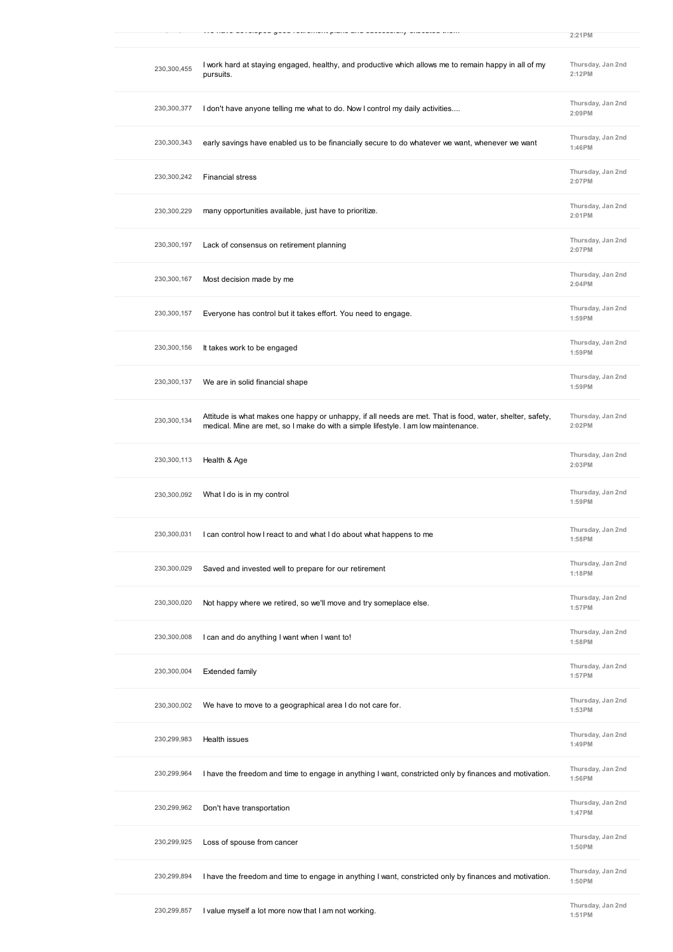|             |                                                                                                                                                                                                                                | 2:21PM                      |
|-------------|--------------------------------------------------------------------------------------------------------------------------------------------------------------------------------------------------------------------------------|-----------------------------|
| 230,300,455 | I work hard at staying engaged, healthy, and productive which allows me to remain happy in all of my<br>pursuits.                                                                                                              | Thursday, Jan 2nd<br>2:12PM |
| 230,300,377 | I don't have anyone telling me what to do. Now I control my daily activities                                                                                                                                                   | Thursday, Jan 2nd<br>2:09PM |
| 230,300,343 | early savings have enabled us to be financially secure to do whatever we want, whenever we want                                                                                                                                | Thursday, Jan 2nd<br>1:46PM |
| 230,300,242 | <b>Financial stress</b>                                                                                                                                                                                                        | Thursday, Jan 2nd<br>2:07PM |
| 230,300,229 | many opportunities available, just have to prioritize.                                                                                                                                                                         | Thursday, Jan 2nd<br>2:01PM |
| 230,300,197 | Lack of consensus on retirement planning                                                                                                                                                                                       | Thursday, Jan 2nd<br>2:07PM |
| 230,300,167 | Most decision made by me                                                                                                                                                                                                       | Thursday, Jan 2nd<br>2:04PM |
| 230,300,157 | Everyone has control but it takes effort. You need to engage.                                                                                                                                                                  | Thursday, Jan 2nd<br>1:59PM |
| 230,300,156 | It takes work to be engaged                                                                                                                                                                                                    | Thursday, Jan 2nd<br>1:59PM |
| 230,300,137 | We are in solid financial shape                                                                                                                                                                                                | Thursday, Jan 2nd<br>1:59PM |
| 230,300,134 | Attitude is what makes one happy or unhappy, if all needs are met. That is food, water, shelter, safety,<br>medical. Mine are met, so I make do with a simple lifestyle. I am low maintenance.                                 | Thursday, Jan 2nd<br>2:02PM |
| 230,300,113 | Health & Age                                                                                                                                                                                                                   | Thursday, Jan 2nd<br>2:03PM |
| 230,300,092 | What I do is in my control                                                                                                                                                                                                     | Thursday, Jan 2nd<br>1:59PM |
| 230,300,031 | I can control how I react to and what I do about what happens to me                                                                                                                                                            | Thursday, Jan 2nd<br>1:58PM |
| 230,300,029 | Saved and invested well to prepare for our retirement                                                                                                                                                                          | Thursday, Jan 2nd<br>1:18PM |
| 230,300,020 | Not happy where we retired, so we'll move and try someplace else.                                                                                                                                                              | Thursday, Jan 2nd<br>1:57PM |
| 230,300,008 | I can and do anything I want when I want to!                                                                                                                                                                                   | Thursday, Jan 2nd<br>1:58PM |
| 230,300,004 | <b>Extended family</b>                                                                                                                                                                                                         | Thursday, Jan 2nd<br>1:57PM |
| 230,300,002 | We have to move to a geographical area I do not care for.                                                                                                                                                                      | Thursday, Jan 2nd<br>1:53PM |
| 230,299,983 | Health issues                                                                                                                                                                                                                  | Thursday, Jan 2nd<br>1:49PM |
| 230,299,964 | I have the freedom and time to engage in anything I want, constricted only by finances and motivation.                                                                                                                         | Thursday, Jan 2nd<br>1:56PM |
| 230,299,962 | Don't have transportation                                                                                                                                                                                                      | Thursday, Jan 2nd<br>1:47PM |
| 230,299,925 | Loss of spouse from cancer                                                                                                                                                                                                     | Thursday, Jan 2nd<br>1:50PM |
| 230,299,894 | I have the freedom and time to engage in anything I want, constricted only by finances and motivation.                                                                                                                         | Thursday, Jan 2nd<br>1:50PM |
| 330.300.0EZ | the decision of a latter and some procedure than a state of the state of the state of the state of the state of the state of the state of the state of the state of the state of the state of the state of the state of the st | Thursday, Jan 2nd           |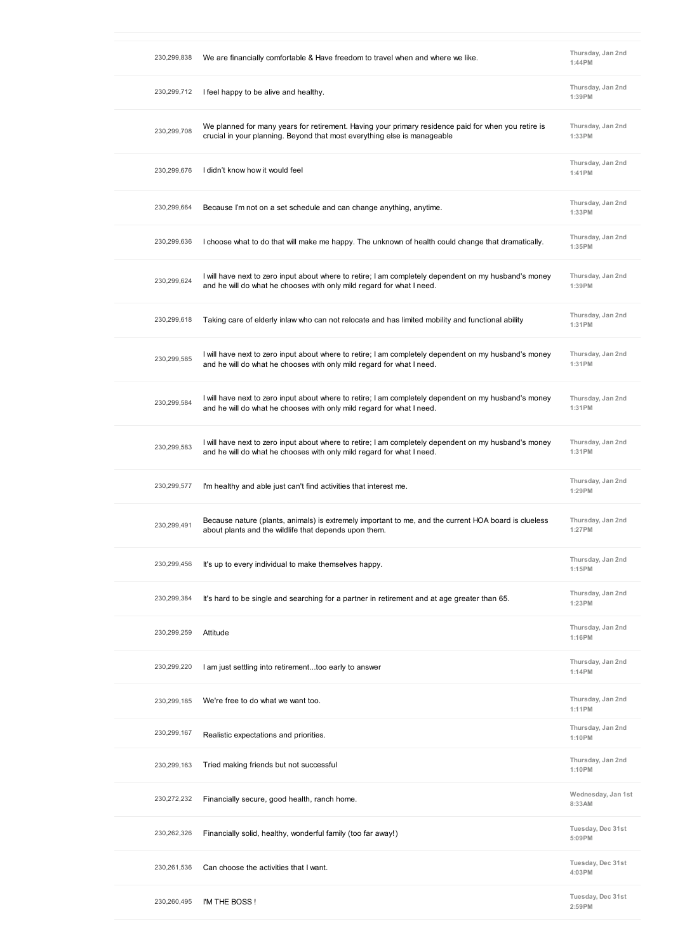| 230,299,838 | We are financially comfortable & Have freedom to travel when and where we like.                                                                                                 | Thursday, Jan 2nd<br>1:44PM  |
|-------------|---------------------------------------------------------------------------------------------------------------------------------------------------------------------------------|------------------------------|
| 230,299,712 | I feel happy to be alive and healthy.                                                                                                                                           | Thursday, Jan 2nd<br>1:39PM  |
| 230,299,708 | We planned for many years for retirement. Having your primary residence paid for when you retire is<br>crucial in your planning. Beyond that most everything else is manageable | Thursday, Jan 2nd<br>1:33PM  |
| 230,299,676 | I didn't know how it would feel                                                                                                                                                 | Thursday, Jan 2nd<br>1:41PM  |
| 230,299,664 | Because I'm not on a set schedule and can change anything, anytime.                                                                                                             | Thursday, Jan 2nd<br>1:33PM  |
| 230,299,636 | I choose what to do that will make me happy. The unknown of health could change that dramatically.                                                                              | Thursday, Jan 2nd<br>1:35PM  |
| 230,299,624 | I will have next to zero input about where to retire; I am completely dependent on my husband's money<br>and he will do what he chooses with only mild regard for what I need.  | Thursday, Jan 2nd<br>1:39PM  |
| 230,299,618 | Taking care of elderly inlaw who can not relocate and has limited mobility and functional ability                                                                               | Thursday, Jan 2nd<br>1:31PM  |
| 230,299,585 | I will have next to zero input about where to retire; I am completely dependent on my husband's money<br>and he will do what he chooses with only mild regard for what I need.  | Thursday, Jan 2nd<br>1:31PM  |
| 230,299,584 | I will have next to zero input about where to retire; I am completely dependent on my husband's money<br>and he will do what he chooses with only mild regard for what I need.  | Thursday, Jan 2nd<br>1:31PM  |
| 230,299,583 | I will have next to zero input about where to retire; I am completely dependent on my husband's money<br>and he will do what he chooses with only mild regard for what I need.  | Thursday, Jan 2nd<br>1:31PM  |
| 230,299,577 | I'm healthy and able just can't find activities that interest me.                                                                                                               | Thursday, Jan 2nd<br>1:29PM  |
| 230,299,491 | Because nature (plants, animals) is extremely important to me, and the current HOA board is clueless<br>about plants and the wildlife that depends upon them.                   | Thursday, Jan 2nd<br>1:27PM  |
| 230,299,456 | It's up to every individual to make themselves happy.                                                                                                                           | Thursday, Jan 2nd<br>1:15PM  |
| 230,299,384 | It's hard to be single and searching for a partner in retirement and at age greater than 65.                                                                                    | Thursday, Jan 2nd<br>1:23PM  |
| 230,299,259 | Attitude                                                                                                                                                                        | Thursday, Jan 2nd<br>1:16PM  |
| 230,299,220 | I am just settling into retirementtoo early to answer                                                                                                                           | Thursday, Jan 2nd<br>1:14PM  |
| 230,299,185 | We're free to do what we want too.                                                                                                                                              | Thursday, Jan 2nd<br>1:11PM  |
| 230,299,167 | Realistic expectations and priorities.                                                                                                                                          | Thursday, Jan 2nd<br>1:10PM  |
| 230,299,163 | Tried making friends but not successful                                                                                                                                         | Thursday, Jan 2nd<br>1:10PM  |
| 230,272,232 | Financially secure, good health, ranch home.                                                                                                                                    | Wednesday, Jan 1st<br>8:33AM |
| 230,262,326 | Financially solid, healthy, wonderful family (too far away!)                                                                                                                    | Tuesday, Dec 31st<br>5:09PM  |
| 230,261,536 | Can choose the activities that I want.                                                                                                                                          | Tuesday, Dec 31st<br>4:03PM  |
| 230,260,495 | I'M THE BOSS!                                                                                                                                                                   | Tuesday, Dec 31st<br>2:59PM  |